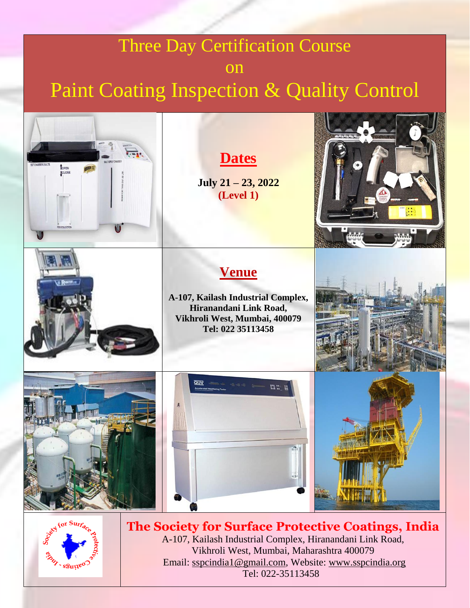# Three Day Certification Course on Paint Coating Inspection & Quality Control



A-107, Kailash Industrial Complex, Hiranandani Link Road, Vikhroli West, Mumbai, Maharashtra 400079 Email: [sspcindia1@gmail.com,](mailto:sspcindia1@gmail.com) Website: [www.sspcindia.org](file:///C:/Users/Prof.A.S.Khanna/Desktop/Catalogue/www.sspcindia.org) Tel: 022-35113458

szuµe0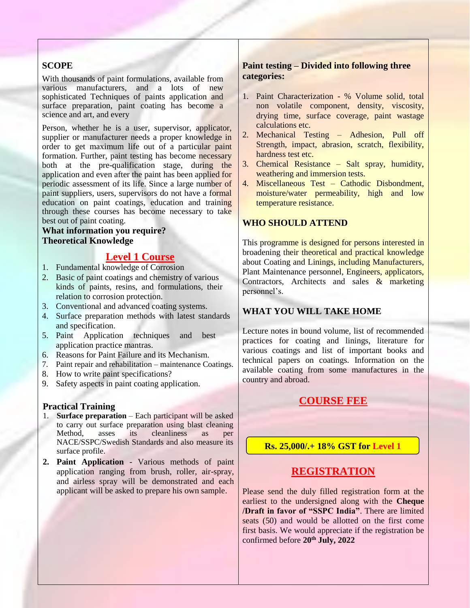#### **SCOPE**

With thousands of paint formulations, available from various manufacturers, and a lots of new sophisticated Techniques of paints application and surface preparation, paint coating has become a science and art, and every

Person, whether he is a user, supervisor, applicator, supplier or manufacturer needs a proper knowledge in order to get maximum life out of a particular paint formation. Further, paint testing has become necessary both at the pre-qualification stage, during the application and even after the paint has been applied for periodic assessment of its life. Since a large number of paint suppliers, users, supervisors do not have a formal education on paint coatings, education and training through these courses has become necessary to take best out of paint coating.

#### **What information you require? Theoretical Knowledge**

#### **Level 1 Course**

- 1. Fundamental knowledge of Corrosion
- 2. Basic of paint coatings and chemistry of various kinds of paints, resins, and formulations, their relation to corrosion protection.
- 3. Conventional and advanced coating systems.
- 4. Surface preparation methods with latest standards and specification.
- 5. Paint Application techniques and best application practice mantras.
- 6. Reasons for Paint Failure and its Mechanism.
- 7. Paint repair and rehabilitation maintenance Coatings.
- 8. How to write paint specifications?
- 9. Safety aspects in paint coating application.

#### **Practical Training**

- 1. **Surface preparation** Each participant will be asked to carry out surface preparation using blast cleaning Method, asses its cleanliness as per NACE/SSPC/Swedish Standards and also measure its surface profile.
- **2. Paint Application**  Various methods of paint application ranging from brush, roller, air-spray, and airless spray will be demonstrated and each applicant will be asked to prepare his own sample.

#### **Paint testing – Divided into following three categories:**

- 1. Paint Characterization % Volume solid, total non volatile component, density, viscosity, drying time, surface coverage, paint wastage calculations etc.
- 2. Mechanical Testing Adhesion, Pull off Strength, impact, abrasion, scratch, flexibility, hardness test etc.
- 3. Chemical Resistance Salt spray, humidity, weathering and immersion tests.
- 4. Miscellaneous Test Cathodic Disbondment, moisture/water permeability, high and low temperature resistance.

#### **WHO SHOULD ATTEND**

This programme is designed for persons interested in broadening their theoretical and practical knowledge about Coating and Linings, including Manufacturers, Plant Maintenance personnel, Engineers, applicators, Contractors, Architects and sales & marketing personnel's.

#### **WHAT YOU WILL TAKE HOME**

Lecture notes in bound volume, list of recommended practices for coating and linings, literature for various coatings and list of important books and technical papers on coatings. Information on the available coating from some manufactures in the country and abroad.

#### **COURSE FEE**

**Rs. 25,000/.+ 18% GST for Level 1**

#### **REGISTRATION**

Please send the duly filled registration form at the earliest to the undersigned along with the **Cheque /Draft in favor of "SSPC India"**. There are limited seats (50) and would be allotted on the first come first basis. We would appreciate if the registration be confirmed before **20th July, 2022**